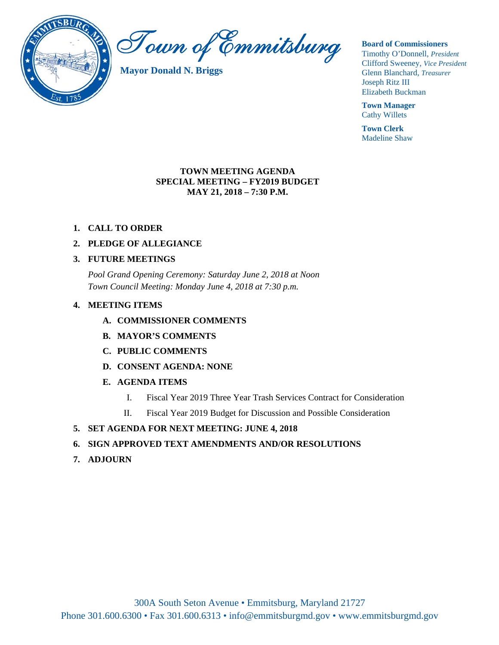

Town of Emmitsburg

**Mayor Donald N. Briggs**

**Board of Commissioners** 

Timothy O'Donnell, *President*  Clifford Sweeney, *Vice President*  Glenn Blanchard, *Treasurer*  Joseph Ritz III Elizabeth Buckman

**Town Manager** Cathy Willets

**Town Clerk** Madeline Shaw

### **TOWN MEETING AGENDA SPECIAL MEETING – FY2019 BUDGET MAY 21, 2018 – 7:30 P.M.**

- **1. CALL TO ORDER**
- **2. PLEDGE OF ALLEGIANCE**

# **3. FUTURE MEETINGS**

*Pool Grand Opening Ceremony: Saturday June 2, 2018 at Noon Town Council Meeting: Monday June 4, 2018 at 7:30 p.m.* 

# **4. MEETING ITEMS**

- **A. COMMISSIONER COMMENTS**
- **B. MAYOR'S COMMENTS**
- **C. PUBLIC COMMENTS**
- **D. CONSENT AGENDA: NONE**
- **E. AGENDA ITEMS** 
	- I. Fiscal Year 2019 Three Year Trash Services Contract for Consideration
	- II. Fiscal Year 2019 Budget for Discussion and Possible Consideration
- **5. SET AGENDA FOR NEXT MEETING: JUNE 4, 2018**
- **6. SIGN APPROVED TEXT AMENDMENTS AND/OR RESOLUTIONS**
- **7. ADJOURN**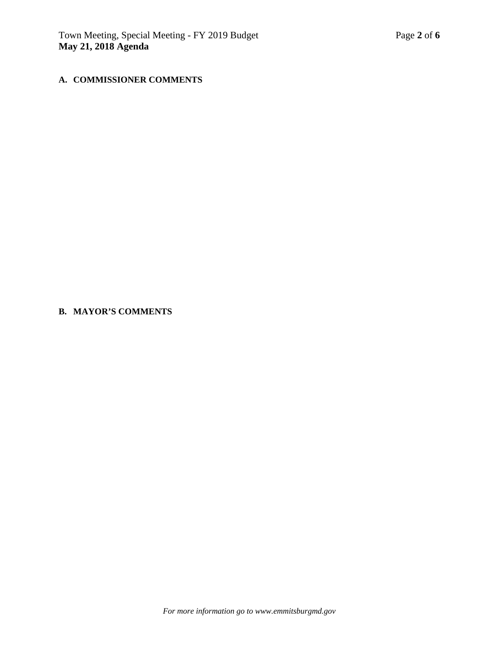## **A. COMMISSIONER COMMENTS**

#### **B. MAYOR'S COMMENTS**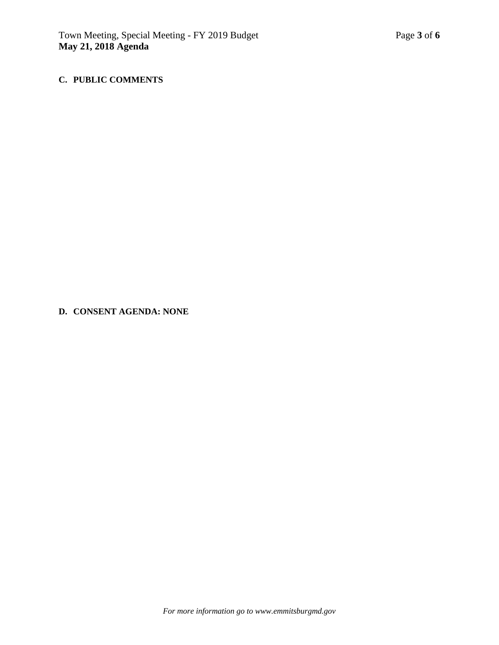## **C. PUBLIC COMMENTS**

**D. CONSENT AGENDA: NONE**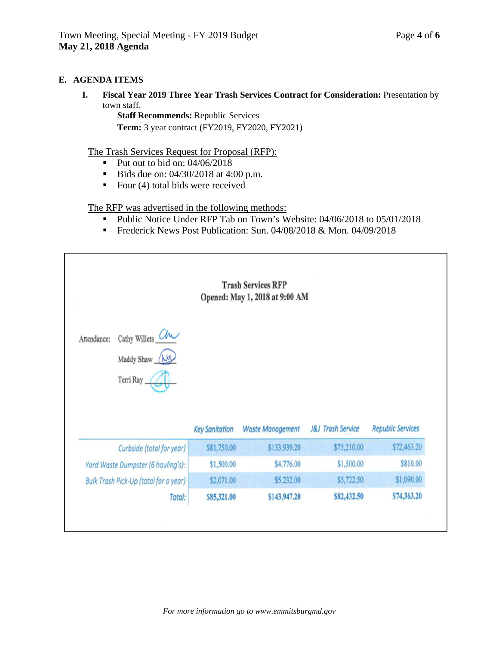### **E. AGENDA ITEMS**

**I. Fiscal Year 2019 Three Year Trash Services Contract for Consideration:** Presentation by town staff.

**Staff Recommends:** Republic Services

**Term:** 3 year contract (FY2019, FY2020, FY2021)

The Trash Services Request for Proposal (RFP):

- Put out to bid on:  $04/06/2018$
- Bids due on:  $04/30/2018$  at 4:00 p.m.
- Four  $(4)$  total bids were received

The RFP was advertised in the following methods:

- Public Notice Under RFP Tab on Town's Website: 04/06/2018 to 05/01/2018
- Frederick News Post Publication: Sun. 04/08/2018 & Mon. 04/09/2018

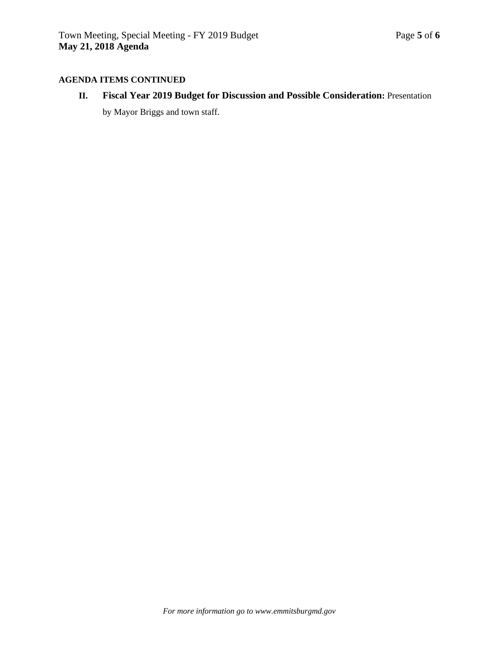#### **AGENDA ITEMS CONTINUED**

**II. Fiscal Year 2019 Budget for Discussion and Possible Consideration:** Presentation by Mayor Briggs and town staff.